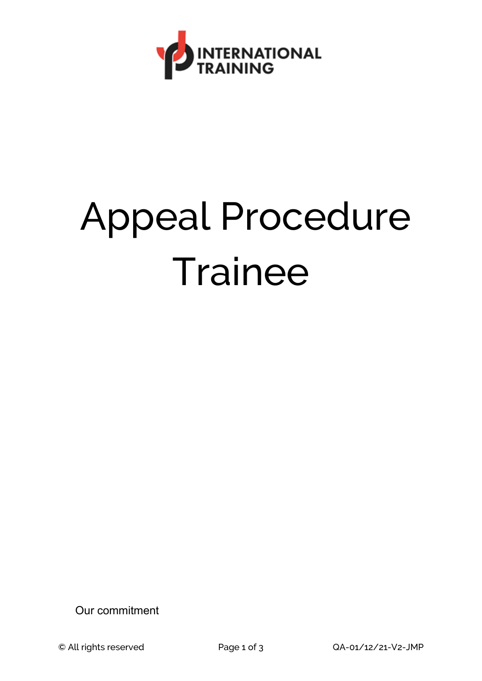

## Appeal Procedure **Trainee**

Our commitment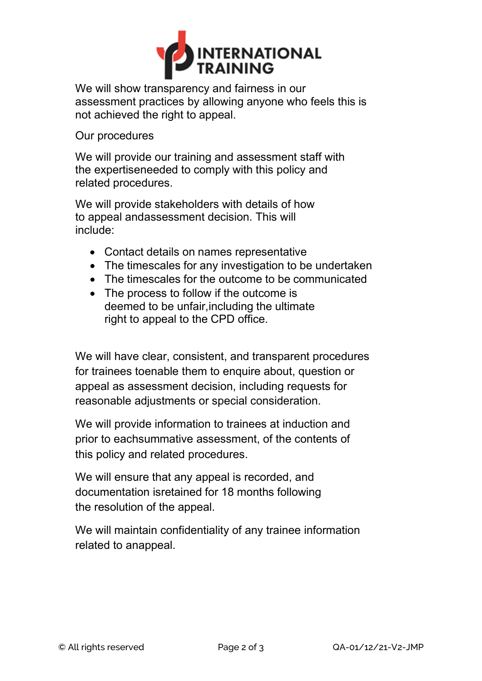

We will show transparency and fairness in our assessment practices by allowing anyone who feels this is not achieved the right to appeal.

Our procedures

We will provide our training and assessment staff with the expertiseneeded to comply with this policy and related procedures.

We will provide stakeholders with details of how to appeal andassessment decision. This will include:

- Contact details on names representative
- The timescales for any investigation to be undertaken
- The timescales for the outcome to be communicated
- The process to follow if the outcome is deemed to be unfair,including the ultimate right to appeal to the CPD office.

We will have clear, consistent, and transparent procedures for trainees toenable them to enquire about, question or appeal as assessment decision, including requests for reasonable adjustments or special consideration.

We will provide information to trainees at induction and prior to eachsummative assessment, of the contents of this policy and related procedures.

We will ensure that any appeal is recorded, and documentation isretained for 18 months following the resolution of the appeal.

We will maintain confidentiality of any trainee information related to anappeal.